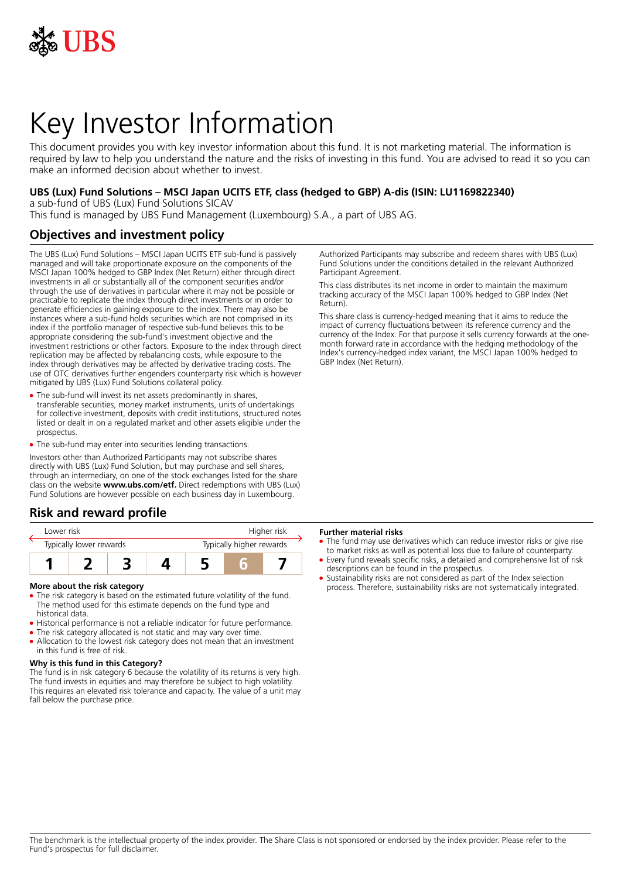

# Key Investor Information

This document provides you with key investor information about this fund. It is not marketing material. The information is required by law to help you understand the nature and the risks of investing in this fund. You are advised to read it so you can make an informed decision about whether to invest.

## **UBS (Lux) Fund Solutions – MSCI Japan UCITS ETF, class (hedged to GBP) A-dis (ISIN: LU1169822340)**

a sub-fund of UBS (Lux) Fund Solutions SICAV

This fund is managed by UBS Fund Management (Luxembourg) S.A., a part of UBS AG.

# **Objectives and investment policy**

The UBS (Lux) Fund Solutions – MSCI Japan UCITS ETF sub-fund is passively managed and will take proportionate exposure on the components of the MSCI Japan 100% hedged to GBP Index (Net Return) either through direct investments in all or substantially all of the component securities and/or through the use of derivatives in particular where it may not be possible or practicable to replicate the index through direct investments or in order to generate efficiencies in gaining exposure to the index. There may also be instances where a sub-fund holds securities which are not comprised in its index if the portfolio manager of respective sub-fund believes this to be appropriate considering the sub-fund's investment objective and the investment restrictions or other factors. Exposure to the index through direct replication may be affected by rebalancing costs, while exposure to the index through derivatives may be affected by derivative trading costs. The use of OTC derivatives further engenders counterparty risk which is however mitigated by UBS (Lux) Fund Solutions collateral policy.

- The sub-fund will invest its net assets predominantly in shares, transferable securities, money market instruments, units of undertakings for collective investment, deposits with credit institutions, structured notes listed or dealt in on a regulated market and other assets eligible under the prospectus.
- The sub-fund may enter into securities lending transactions.

Investors other than Authorized Participants may not subscribe shares directly with UBS (Lux) Fund Solution, but may purchase and sell shares, through an intermediary, on one of the stock exchanges listed for the share class on the website **www.ubs.com/etf.** Direct redemptions with UBS (Lux) Fund Solutions are however possible on each business day in Luxembourg.

## **Risk and reward profile**

| Lower risk              |  |  |  | Higher risk              |  |  |
|-------------------------|--|--|--|--------------------------|--|--|
| Typically lower rewards |  |  |  | Typically higher rewards |  |  |
|                         |  |  |  |                          |  |  |

#### **More about the risk category**

- The risk category is based on the estimated future volatility of the fund. The method used for this estimate depends on the fund type and historical data.
- Historical performance is not a reliable indicator for future performance.
- The risk category allocated is not static and may vary over time.
- Allocation to the lowest risk category does not mean that an investment in this fund is free of risk.

## **Why is this fund in this Category?**

The fund is in risk category 6 because the volatility of its returns is very high. The fund invests in equities and may therefore be subject to high volatility. This requires an elevated risk tolerance and capacity. The value of a unit may fall below the purchase price.

Authorized Participants may subscribe and redeem shares with UBS (Lux) Fund Solutions under the conditions detailed in the relevant Authorized Participant Agreement.

This class distributes its net income in order to maintain the maximum tracking accuracy of the MSCI Japan 100% hedged to GBP Index (Net Return).

This share class is currency-hedged meaning that it aims to reduce the impact of currency fluctuations between its reference currency and the currency of the Index. For that purpose it sells currency forwards at the onemonth forward rate in accordance with the hedging methodology of the Index's currency-hedged index variant, the MSCI Japan 100% hedged to GBP Index (Net Return).

## **Further material risks**

- The fund may use derivatives which can reduce investor risks or give rise to market risks as well as potential loss due to failure of counterparty.
- 5 Every fund reveals specific risks, a detailed and comprehensive list of risk descriptions can be found in the prospectus.
- Sustainability risks are not considered as part of the Index selection process. Therefore, sustainability risks are not systematically integrated.